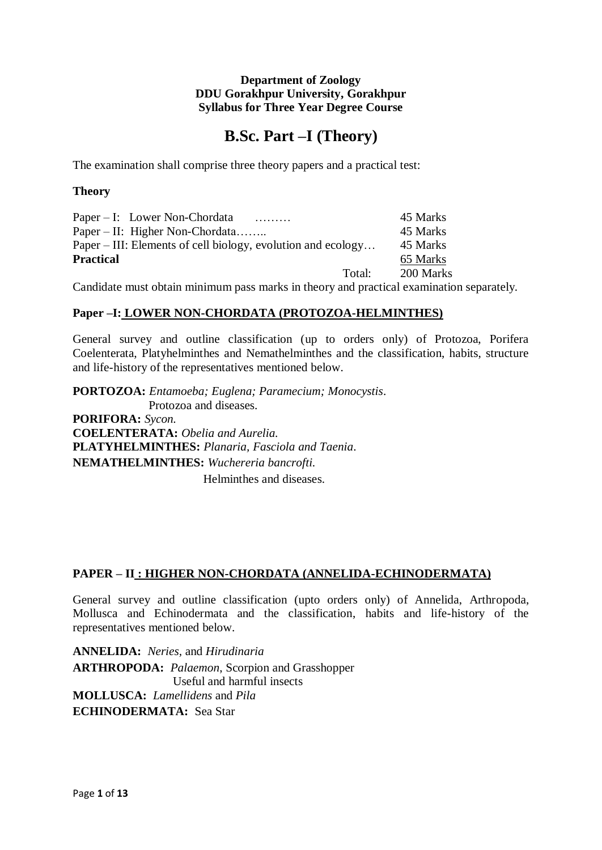# **B.Sc. Part –I (Theory)**

The examination shall comprise three theory papers and a practical test:

# **Theory**

| Paper – I: Lower Non-Chordata<br>.                           | 45 Marks  |
|--------------------------------------------------------------|-----------|
| Paper $-$ II: Higher Non-Chordata                            | 45 Marks  |
| Paper – III: Elements of cell biology, evolution and ecology | 45 Marks  |
| <b>Practical</b>                                             | 65 Marks  |
| Total:                                                       | 200 Marks |

Candidate must obtain minimum pass marks in theory and practical examination separately.

# **Paper –I: LOWER NON-CHORDATA (PROTOZOA-HELMINTHES)**

General survey and outline classification (up to orders only) of Protozoa, Porifera Coelenterata, Platyhelminthes and Nemathelminthes and the classification, habits, structure and life-history of the representatives mentioned below.

**PORTOZOA:** *Entamoeba; Euglena; Paramecium; Monocystis*. Protozoa and diseases. **PORIFORA:** *Sycon.* **COELENTERATA:** *Obelia and Aurelia.* **PLATYHELMINTHES:** *Planaria, Fasciola and Taenia*. **NEMATHELMINTHES:** *Wuchereria bancrofti.* Helminthes and diseases.

# **PAPER – II : HIGHER NON-CHORDATA (ANNELIDA-ECHINODERMATA)**

General survey and outline classification (upto orders only) of Annelida, Arthropoda, Mollusca and Echinodermata and the classification, habits and life-history of the representatives mentioned below.

**ANNELIDA:** *Neries,* and *Hirudinaria* **ARTHROPODA:** *Palaemon*, Scorpion and Grasshopper Useful and harmful insects **MOLLUSCA:** *Lamellidens* and *Pila* **ECHINODERMATA:** Sea Star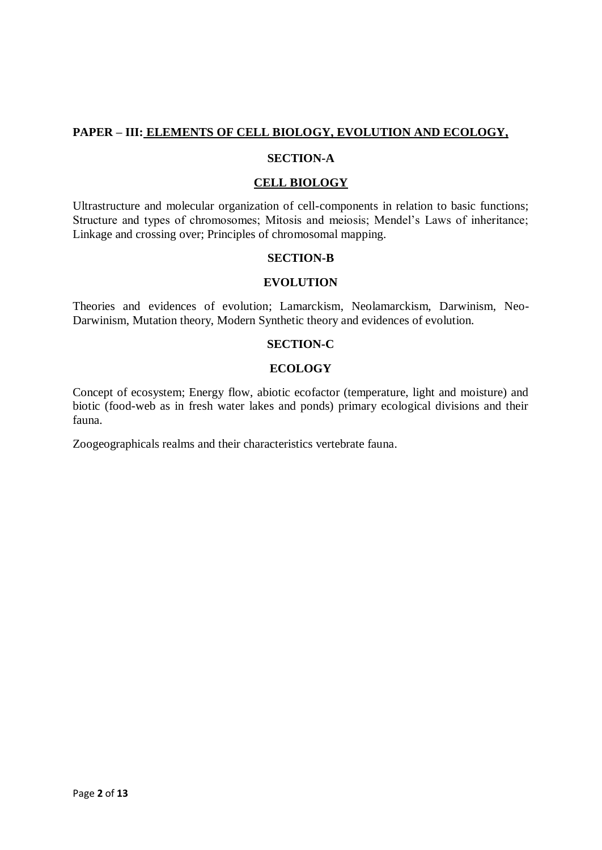# **PAPER – III: ELEMENTS OF CELL BIOLOGY, EVOLUTION AND ECOLOGY,**

#### **SECTION-A**

#### **CELL BIOLOGY**

Ultrastructure and molecular organization of cell-components in relation to basic functions; Structure and types of chromosomes; Mitosis and meiosis; Mendel's Laws of inheritance; Linkage and crossing over; Principles of chromosomal mapping.

#### **SECTION-B**

#### **EVOLUTION**

Theories and evidences of evolution; Lamarckism, Neolamarckism, Darwinism, Neo-Darwinism, Mutation theory, Modern Synthetic theory and evidences of evolution.

### **SECTION-C**

#### **ECOLOGY**

Concept of ecosystem; Energy flow, abiotic ecofactor (temperature, light and moisture) and biotic (food-web as in fresh water lakes and ponds) primary ecological divisions and their fauna.

Zoogeographicals realms and their characteristics vertebrate fauna.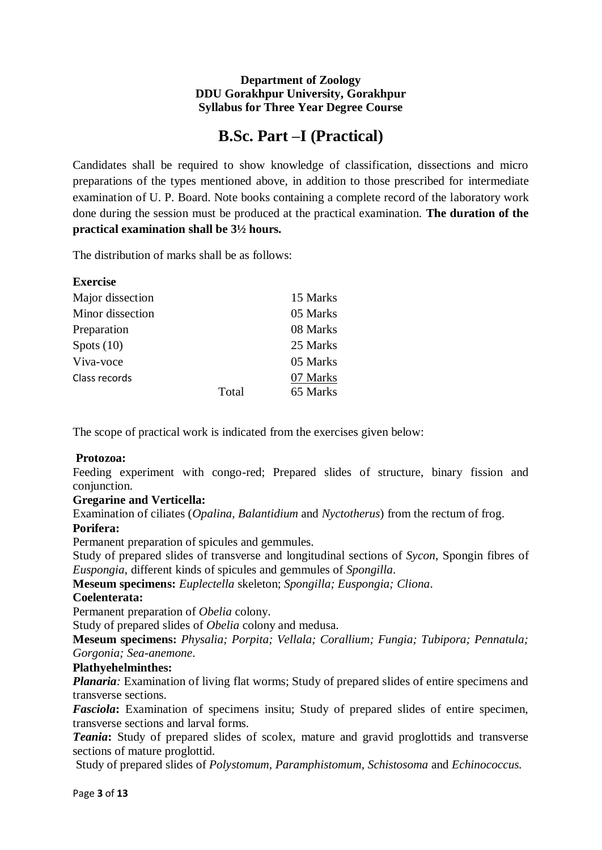# **B.Sc. Part –I (Practical)**

Candidates shall be required to show knowledge of classification, dissections and micro preparations of the types mentioned above, in addition to those prescribed for intermediate examination of U. P. Board. Note books containing a complete record of the laboratory work done during the session must be produced at the practical examination. **The duration of the practical examination shall be 3½ hours.**

The distribution of marks shall be as follows:

| <b>Exercise</b>  |       |          |
|------------------|-------|----------|
| Major dissection |       | 15 Marks |
| Minor dissection |       | 05 Marks |
| Preparation      |       | 08 Marks |
| Spots $(10)$     |       | 25 Marks |
| Viva-voce        |       | 05 Marks |
| Class records    |       | 07 Marks |
|                  | Total | 65 Marks |

The scope of practical work is indicated from the exercises given below:

# **Protozoa:**

Feeding experiment with congo-red; Prepared slides of structure, binary fission and conjunction.

# **Gregarine and Verticella:**

Examination of ciliates (*Opalina, Balantidium* and *Nyctotherus*) from the rectum of frog.

#### **Porifera:**

Permanent preparation of spicules and gemmules.

Study of prepared slides of transverse and longitudinal sections of *Sycon*, Spongin fibres of *Euspongia*, different kinds of spicules and gemmules of *Spongilla*.

**Meseum specimens:** *Euplectella* skeleton; *Spongilla; Euspongia; Cliona*.

#### **Coelenterata:**

Permanent preparation of *Obelia* colony.

Study of prepared slides of *Obelia* colony and medusa.

**Meseum specimens:** *Physalia; Porpita; Vellala; Corallium; Fungia; Tubipora; Pennatula; Gorgonia; Sea-anemone*.

#### **Plathyehelminthes:**

*Planaria*: Examination of living flat worms; Study of prepared slides of entire specimens and transverse sections.

*Fasciola***:** Examination of specimens insitu; Study of prepared slides of entire specimen, transverse sections and larval forms.

*Teania***:** Study of prepared slides of scolex, mature and gravid proglottids and transverse sections of mature proglottid.

Study of prepared slides of *Polystomum, Paramphistomum, Schistosoma* and *Echinococcus.*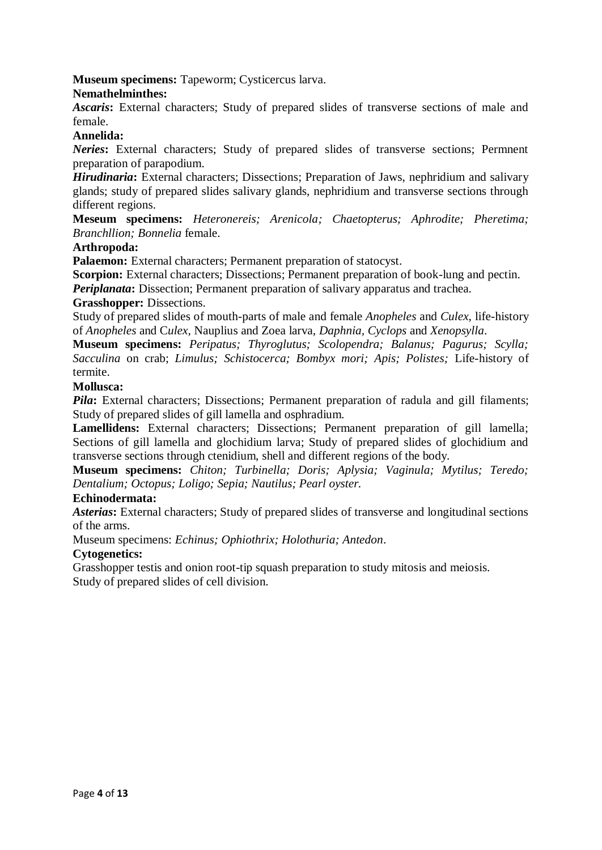**Museum specimens:** Tapeworm; Cysticercus larva.

## **Nemathelminthes:**

*Ascaris***:** External characters; Study of prepared slides of transverse sections of male and female.

#### **Annelida:**

*Neries***:** External characters; Study of prepared slides of transverse sections; Permnent preparation of parapodium.

*Hirudinaria***:** External characters; Dissections; Preparation of Jaws, nephridium and salivary glands; study of prepared slides salivary glands, nephridium and transverse sections through different regions.

**Meseum specimens:** *Heteronereis; Arenicola; Chaetopterus; Aphrodite; Pheretima; Branchllion; Bonnelia* female.

#### **Arthropoda:**

**Palaemon:** External characters; Permanent preparation of statocyst.

**Scorpion:** External characters; Dissections; Permanent preparation of book-lung and pectin.

*Periplanata***:** Dissection; Permanent preparation of salivary apparatus and trachea.

#### **Grasshopper:** Dissections.

Study of prepared slides of mouth-parts of male and female *Anopheles* and *Culex*, life-history of *Anopheles* and C*ulex,* Nauplius and Zoea larva*, Daphnia, Cyclops* and *Xenopsylla*.

**Museum specimens:** *Peripatus; Thyroglutus; Scolopendra; Balanus; Pagurus; Scylla; Sacculina* on crab; *Limulus; Schistocerca; Bombyx mori; Apis; Polistes;* Life-history of termite.

#### **Mollusca:**

*Pila*: External characters; Dissections; Permanent preparation of radula and gill filaments; Study of prepared slides of gill lamella and osphradium.

**Lamellidens:** External characters; Dissections; Permanent preparation of gill lamella; Sections of gill lamella and glochidium larva; Study of prepared slides of glochidium and transverse sections through ctenidium, shell and different regions of the body.

**Museum specimens:** *Chiton; Turbinella; Doris; Aplysia; Vaginula; Mytilus; Teredo; Dentalium; Octopus; Loligo; Sepia; Nautilus; Pearl oyster.*

#### **Echinodermata:**

*Asterias***:** External characters; Study of prepared slides of transverse and longitudinal sections of the arms.

Museum specimens: *Echinus; Ophiothrix; Holothuria; Antedon*.

#### **Cytogenetics:**

Grasshopper testis and onion root-tip squash preparation to study mitosis and meiosis. Study of prepared slides of cell division.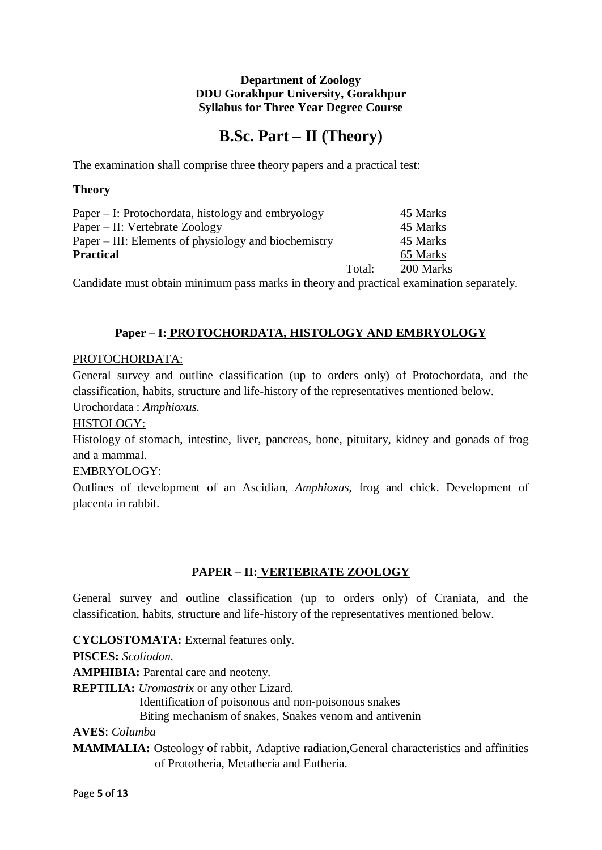# **B.Sc. Part – II (Theory)**

The examination shall comprise three theory papers and a practical test:

# **Theory**

| Paper – I: Protochordata, histology and embryology                                                                 |        | 45 Marks  |  |
|--------------------------------------------------------------------------------------------------------------------|--------|-----------|--|
| Paper – II: Vertebrate Zoology                                                                                     |        | 45 Marks  |  |
| Paper – III: Elements of physiology and biochemistry                                                               |        | 45 Marks  |  |
| <b>Practical</b>                                                                                                   |        | 65 Marks  |  |
|                                                                                                                    | Total: | 200 Marks |  |
| $\alpha$ . It is a constant of the contribution of the contribution of the contribution of the contribution of the |        |           |  |

Candidate must obtain minimum pass marks in theory and practical examination separately.

# **Paper – I: PROTOCHORDATA, HISTOLOGY AND EMBRYOLOGY**

## PROTOCHORDATA:

General survey and outline classification (up to orders only) of Protochordata, and the classification, habits, structure and life-history of the representatives mentioned below. Urochordata : *Amphioxus.*

# HISTOLOGY:

Histology of stomach, intestine, liver, pancreas, bone, pituitary, kidney and gonads of frog and a mammal.

# EMBRYOLOGY:

Outlines of development of an Ascidian, *Amphioxus*, frog and chick. Development of placenta in rabbit.

# **PAPER – II: VERTEBRATE ZOOLOGY**

General survey and outline classification (up to orders only) of Craniata, and the classification, habits, structure and life-history of the representatives mentioned below.

**CYCLOSTOMATA:** External features only. **PISCES:** *Scoliodon.* **AMPHIBIA:** Parental care and neoteny. **REPTILIA:** *Uromastrix* or any other Lizard. Identification of poisonous and non-poisonous snakes Biting mechanism of snakes, Snakes venom and antivenin **AVES**: *Columba*

**MAMMALIA:** Osteology of rabbit, Adaptive radiation,General characteristics and affinities of Prototheria, Metatheria and Eutheria.

Page **5** of **13**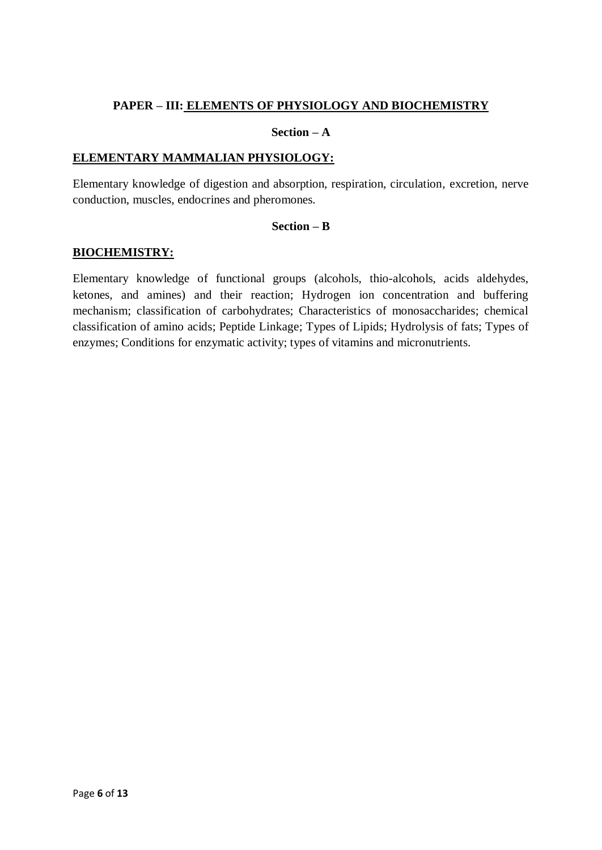## **PAPER – III: ELEMENTS OF PHYSIOLOGY AND BIOCHEMISTRY**

#### **Section – A**

#### **ELEMENTARY MAMMALIAN PHYSIOLOGY:**

Elementary knowledge of digestion and absorption, respiration, circulation, excretion, nerve conduction, muscles, endocrines and pheromones.

#### **Section – B**

#### **BIOCHEMISTRY:**

Elementary knowledge of functional groups (alcohols, thio-alcohols, acids aldehydes, ketones, and amines) and their reaction; Hydrogen ion concentration and buffering mechanism; classification of carbohydrates; Characteristics of monosaccharides; chemical classification of amino acids; Peptide Linkage; Types of Lipids; Hydrolysis of fats; Types of enzymes; Conditions for enzymatic activity; types of vitamins and micronutrients.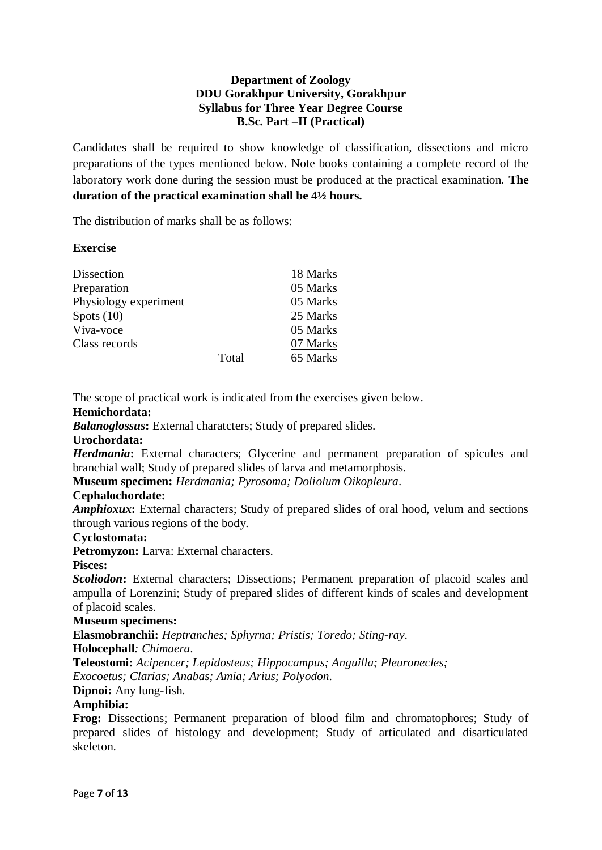# **Department of Zoology DDU Gorakhpur University, Gorakhpur Syllabus for Three Year Degree Course B.Sc. Part –II (Practical)**

Candidates shall be required to show knowledge of classification, dissections and micro preparations of the types mentioned below. Note books containing a complete record of the laboratory work done during the session must be produced at the practical examination. **The duration of the practical examination shall be 4½ hours.**

The distribution of marks shall be as follows:

# **Exercise**

| Dissection            |       | 18 Marks |
|-----------------------|-------|----------|
| Preparation           |       | 05 Marks |
| Physiology experiment |       | 05 Marks |
| Spots $(10)$          |       | 25 Marks |
| Viva-voce             |       | 05 Marks |
| Class records         |       | 07 Marks |
|                       | Total | 65 Marks |

The scope of practical work is indicated from the exercises given below.

#### **Hemichordata:**

*Balanoglossus***:** External charatcters; Study of prepared slides.

#### **Urochordata:**

*Herdmania***:** External characters; Glycerine and permanent preparation of spicules and branchial wall; Study of prepared slides of larva and metamorphosis.

**Museum specimen:** *Herdmania; Pyrosoma; Doliolum Oikopleura*.

#### **Cephalochordate:**

*Amphioxux***:** External characters; Study of prepared slides of oral hood, velum and sections through various regions of the body.

#### **Cyclostomata:**

**Petromyzon:** Larva: External characters.

#### **Pisces:**

*Scoliodon***:** External characters; Dissections; Permanent preparation of placoid scales and ampulla of Lorenzini; Study of prepared slides of different kinds of scales and development of placoid scales.

#### **Museum specimens:**

**Elasmobranchii:** *Heptranches; Sphyrna; Pristis; Toredo; Sting-ray*.

**Holocephall***: Chimaera*.

**Teleostomi:** *Acipencer; Lepidosteus; Hippocampus; Anguilla; Pleuronecles; Exocoetus; Clarias; Anabas; Amia; Arius; Polyodon*.

**Dipnoi:** Any lung-fish.

#### **Amphibia:**

**Frog:** Dissections; Permanent preparation of blood film and chromatophores; Study of prepared slides of histology and development; Study of articulated and disarticulated skeleton.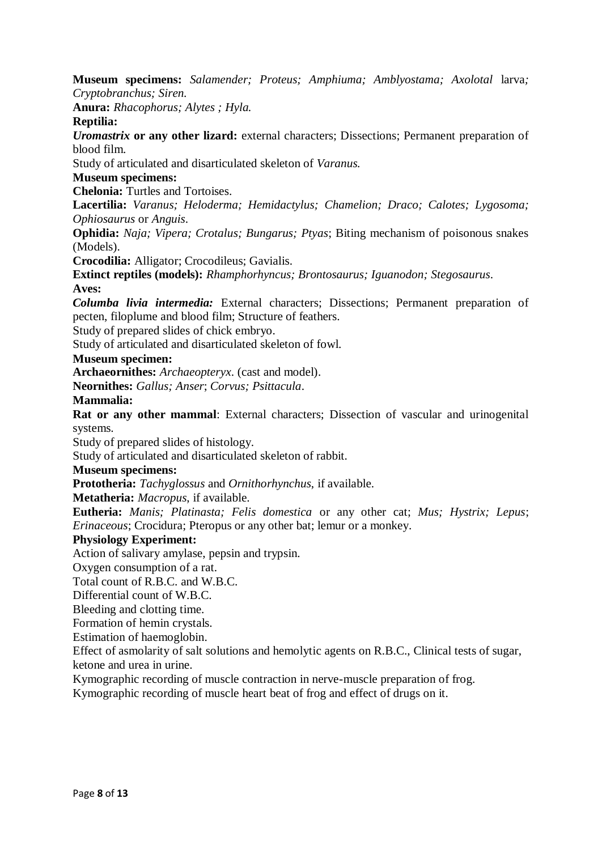**Museum specimens:** *Salamender; Proteus; Amphiuma; Amblyostama; Axolotal* larva*; Cryptobranchus; Siren.*

**Anura:** *Rhacophorus; Alytes ; Hyla.*

**Reptilia:**

*Uromastrix* **or any other lizard:** external characters; Dissections; Permanent preparation of blood film.

Study of articulated and disarticulated skeleton of *Varanus.*

#### **Museum specimens:**

**Chelonia:** Turtles and Tortoises.

**Lacertilia:** *Varanus; Heloderma; Hemidactylus; Chamelion; Draco; Calotes; Lygosoma; Ophiosaurus* or *Anguis*.

**Ophidia:** *Naja; Vipera; Crotalus; Bungarus; Ptyas*; Biting mechanism of poisonous snakes (Models).

**Crocodilia:** Alligator; Crocodileus; Gavialis.

**Extinct reptiles (models):** *Rhamphorhyncus; Brontosaurus; Iguanodon; Stegosaurus*.

**Aves:**

*Columba livia intermedia:* External characters; Dissections; Permanent preparation of pecten, filoplume and blood film; Structure of feathers.

Study of prepared slides of chick embryo.

Study of articulated and disarticulated skeleton of fowl.

#### **Museum specimen:**

**Archaeornithes:** *Archaeopteryx*. (cast and model).

**Neornithes:** *Gallus; Anser*; *Corvus; Psittacula*.

#### **Mammalia:**

**Rat or any other mammal**: External characters; Dissection of vascular and urinogenital systems.

Study of prepared slides of histology.

Study of articulated and disarticulated skeleton of rabbit.

## **Museum specimens:**

**Prototheria:** *Tachyglossus* and *Ornithorhynchus*, if available.

**Metatheria:** *Macropus*, if available.

**Eutheria:** *Manis; Platinasta; Felis domestica* or any other cat; *Mus; Hystrix; Lepus*; *Erinaceous*; Crocidura; Pteropus or any other bat; lemur or a monkey.

#### **Physiology Experiment:**

Action of salivary amylase, pepsin and trypsin.

Oxygen consumption of a rat.

Total count of R.B.C. and W.B.C.

Differential count of W.B.C.

Bleeding and clotting time.

Formation of hemin crystals.

Estimation of haemoglobin.

Effect of asmolarity of salt solutions and hemolytic agents on R.B.C., Clinical tests of sugar, ketone and urea in urine.

Kymographic recording of muscle contraction in nerve-muscle preparation of frog.

Kymographic recording of muscle heart beat of frog and effect of drugs on it.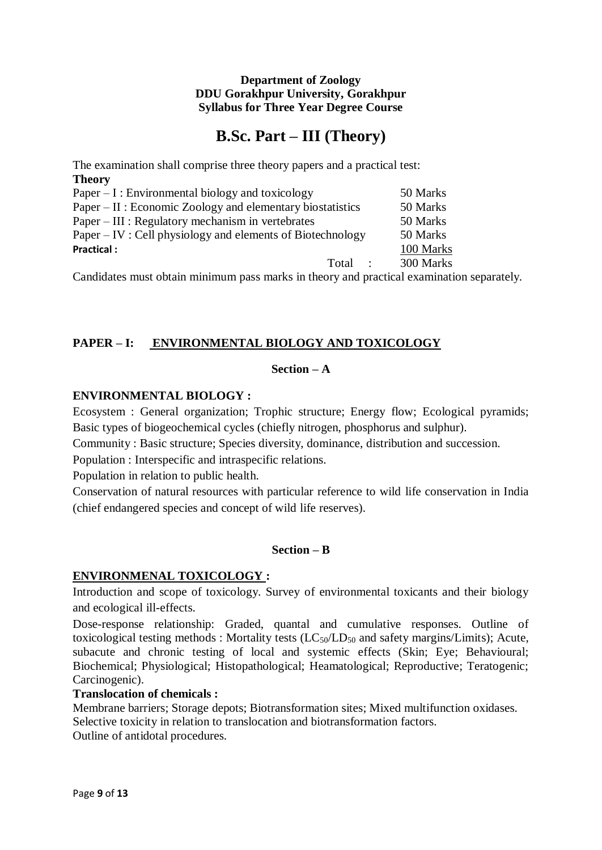# **B.Sc. Part – III (Theory)**

The examination shall comprise three theory papers and a practical test: **Theory** Paper – I : Environmental biology and toxicology 50 Marks Paper – II : Economic Zoology and elementary biostatistics 50 Marks Paper – III : Regulatory mechanism in vertebrates 50 Marks Paper – IV : Cell physiology and elements of Biotechnology 50 Marks **Practical :** 100 Marks Total : 300 Marks

Candidates must obtain minimum pass marks in theory and practical examination separately.

# **PAPER – I: ENVIRONMENTAL BIOLOGY AND TOXICOLOGY**

## **Section – A**

# **ENVIRONMENTAL BIOLOGY :**

Ecosystem : General organization; Trophic structure; Energy flow; Ecological pyramids; Basic types of biogeochemical cycles (chiefly nitrogen, phosphorus and sulphur).

Community : Basic structure; Species diversity, dominance, distribution and succession.

Population : Interspecific and intraspecific relations.

Population in relation to public health.

Conservation of natural resources with particular reference to wild life conservation in India (chief endangered species and concept of wild life reserves).

# **Section – B**

#### **ENVIRONMENAL TOXICOLOGY :**

Introduction and scope of toxicology. Survey of environmental toxicants and their biology and ecological ill-effects.

Dose-response relationship: Graded, quantal and cumulative responses. Outline of toxicological testing methods : Mortality tests  $(LC_{50}/LD_{50}$  and safety margins/Limits); Acute, subacute and chronic testing of local and systemic effects (Skin; Eye; Behavioural; Biochemical; Physiological; Histopathological; Heamatological; Reproductive; Teratogenic; Carcinogenic).

#### **Translocation of chemicals :**

Membrane barriers; Storage depots; Biotransformation sites; Mixed multifunction oxidases. Selective toxicity in relation to translocation and biotransformation factors. Outline of antidotal procedures.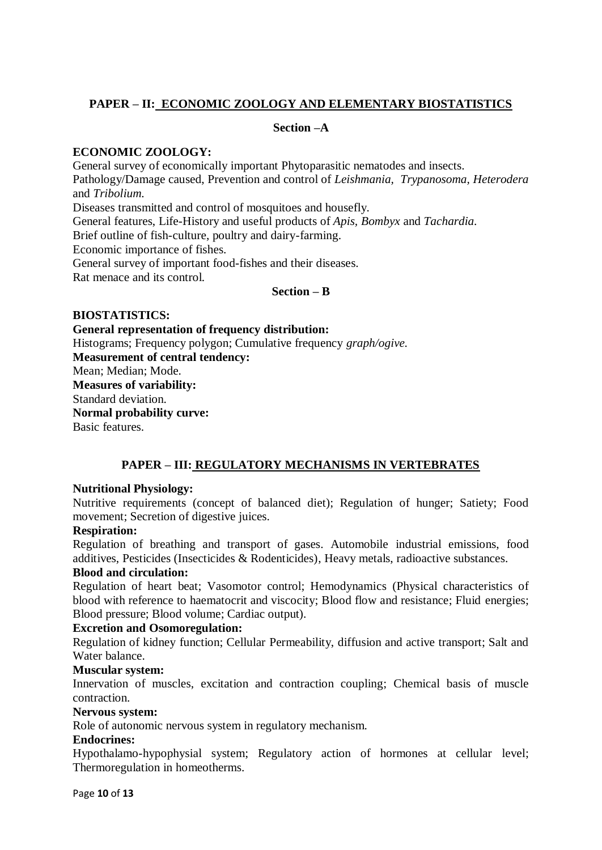# **PAPER – II: ECONOMIC ZOOLOGY AND ELEMENTARY BIOSTATISTICS**

#### **Section –A**

# **ECONOMIC ZOOLOGY:**

General survey of economically important Phytoparasitic nematodes and insects. Pathology/Damage caused, Prevention and control of *Leishmania, Trypanosoma, Heterodera* and *Tribolium.* Diseases transmitted and control of mosquitoes and housefly. General features, Life-History and useful products of *Apis, Bombyx* and *Tachardia.* Brief outline of fish-culture, poultry and dairy-farming. Economic importance of fishes. General survey of important food-fishes and their diseases. Rat menace and its control.

## **Section – B**

## **BIOSTATISTICS:**

**General representation of frequency distribution:** Histograms; Frequency polygon; Cumulative frequency *graph/ogive.* **Measurement of central tendency:** Mean; Median; Mode. **Measures of variability:** Standard deviation. **Normal probability curve:** Basic features.

# **PAPER – III: REGULATORY MECHANISMS IN VERTEBRATES**

#### **Nutritional Physiology:**

Nutritive requirements (concept of balanced diet); Regulation of hunger; Satiety; Food movement; Secretion of digestive juices.

#### **Respiration:**

Regulation of breathing and transport of gases. Automobile industrial emissions, food additives, Pesticides (Insecticides & Rodenticides), Heavy metals, radioactive substances.

#### **Blood and circulation:**

Regulation of heart beat; Vasomotor control; Hemodynamics (Physical characteristics of blood with reference to haematocrit and viscocity; Blood flow and resistance; Fluid energies; Blood pressure; Blood volume; Cardiac output).

#### **Excretion and Osomoregulation:**

Regulation of kidney function; Cellular Permeability, diffusion and active transport; Salt and Water balance.

#### **Muscular system:**

Innervation of muscles, excitation and contraction coupling; Chemical basis of muscle contraction.

#### **Nervous system:**

Role of autonomic nervous system in regulatory mechanism.

#### **Endocrines:**

Hypothalamo-hypophysial system; Regulatory action of hormones at cellular level; Thermoregulation in homeotherms.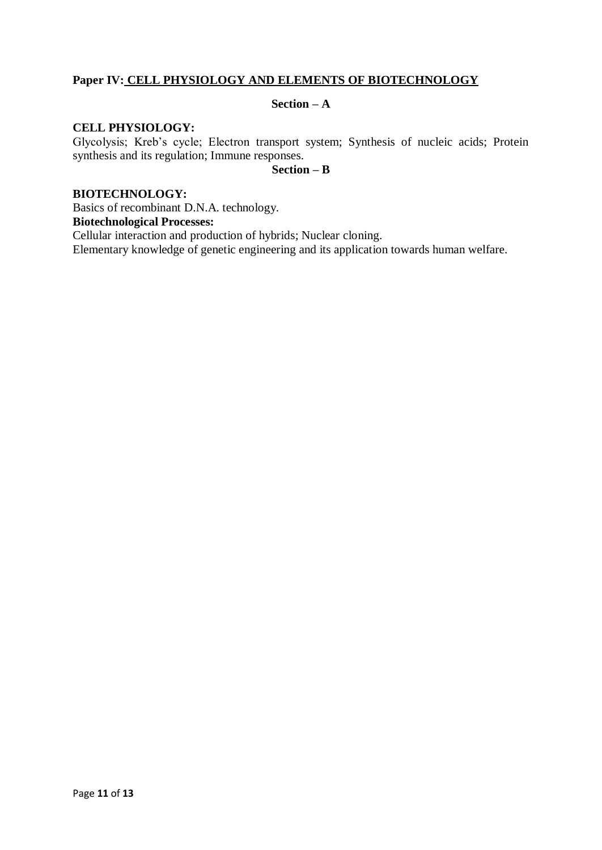# **Paper IV: CELL PHYSIOLOGY AND ELEMENTS OF BIOTECHNOLOGY**

# **Section – A**

# **CELL PHYSIOLOGY:**

Glycolysis; Kreb's cycle; Electron transport system; Synthesis of nucleic acids; Protein synthesis and its regulation; Immune responses.

#### **Section – B**

#### **BIOTECHNOLOGY:**

Basics of recombinant D.N.A. technology.

**Biotechnological Processes:**

Cellular interaction and production of hybrids; Nuclear cloning.

Elementary knowledge of genetic engineering and its application towards human welfare.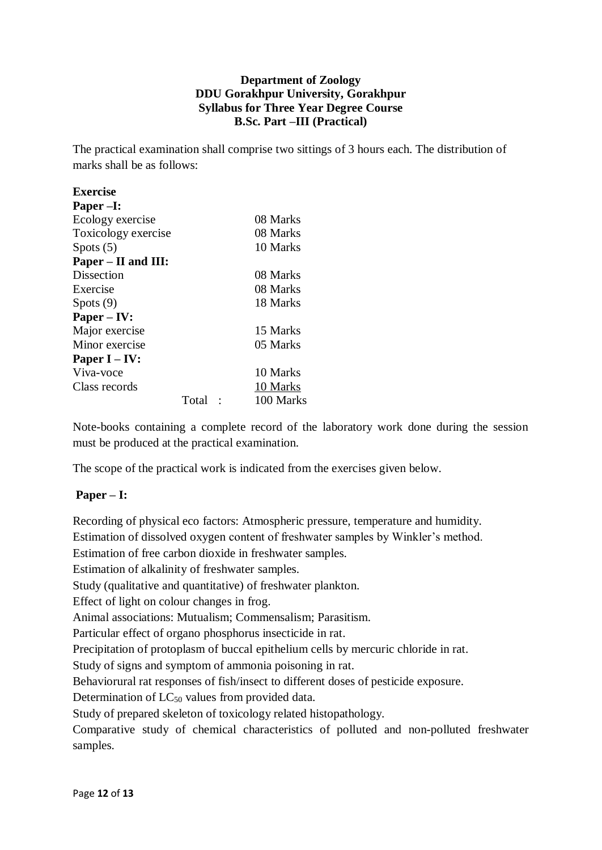# **Department of Zoology DDU Gorakhpur University, Gorakhpur Syllabus for Three Year Degree Course B.Sc. Part –III (Practical)**

The practical examination shall comprise two sittings of 3 hours each. The distribution of marks shall be as follows:

| <b>Exercise</b>     |       |           |
|---------------------|-------|-----------|
| Paper-I:            |       |           |
| Ecology exercise    |       | 08 Marks  |
| Toxicology exercise |       | 08 Marks  |
| Spots $(5)$         |       | 10 Marks  |
| Paper – II and III: |       |           |
| Dissection          |       | 08 Marks  |
| Exercise            |       | 08 Marks  |
| Spots $(9)$         |       | 18 Marks  |
| $Paper - IV:$       |       |           |
| Major exercise      |       | 15 Marks  |
| Minor exercise      |       | 05 Marks  |
| Paper $I – IV:$     |       |           |
| Viva-voce           |       | 10 Marks  |
| Class records       |       | 10 Marks  |
|                     | Total | 100 Marks |

Note-books containing a complete record of the laboratory work done during the session must be produced at the practical examination.

The scope of the practical work is indicated from the exercises given below.

# **Paper – I:**

Recording of physical eco factors: Atmospheric pressure, temperature and humidity. Estimation of dissolved oxygen content of freshwater samples by Winkler's method. Estimation of free carbon dioxide in freshwater samples. Estimation of alkalinity of freshwater samples. Study (qualitative and quantitative) of freshwater plankton. Effect of light on colour changes in frog. Animal associations: Mutualism; Commensalism; Parasitism. Particular effect of organo phosphorus insecticide in rat. Precipitation of protoplasm of buccal epithelium cells by mercuric chloride in rat. Study of signs and symptom of ammonia poisoning in rat. Behaviorural rat responses of fish/insect to different doses of pesticide exposure. Determination of  $LC_{50}$  values from provided data. Study of prepared skeleton of toxicology related histopathology. Comparative study of chemical characteristics of polluted and non-polluted freshwater samples.